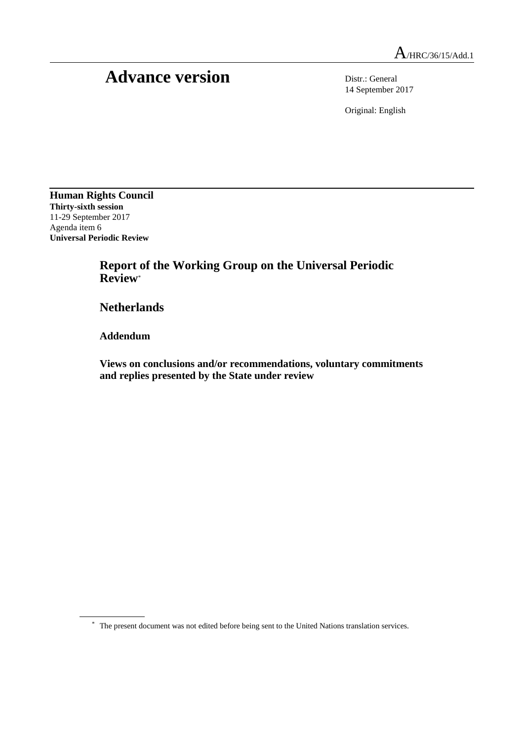# Advance version Distr.: General

14 September 2017

Original: English

**Human Rights Council Thirty-sixth session** 11-29 September 2017 Agenda item 6 **Universal Periodic Review**

> **Report of the Working Group on the Universal Periodic Review**\*

**Netherlands**

**Addendum**

**Views on conclusions and/or recommendations, voluntary commitments and replies presented by the State under review**

<sup>\*</sup> The present document was not edited before being sent to the United Nations translation services.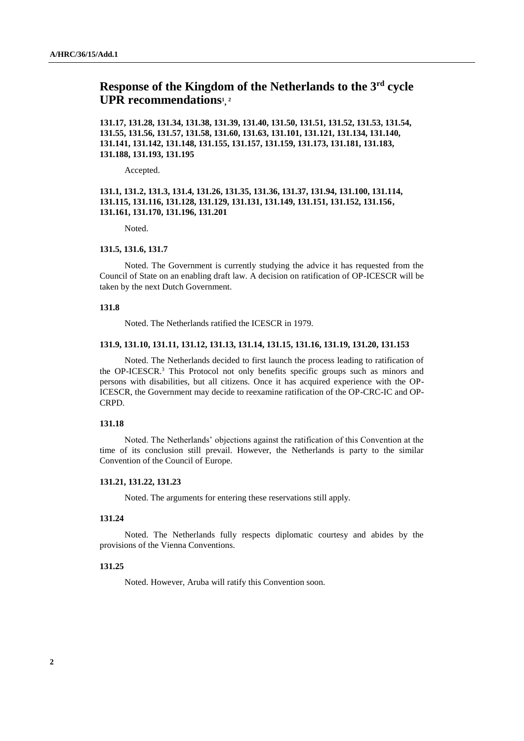# **Response of the Kingdom of the Netherlands to the 3rd cycle UPR recommendations<sup>1</sup> , 2**

**131.17, 131.28, 131.34, 131.38, 131.39, 131.40, 131.50, 131.51, 131.52, 131.53, 131.54, 131.55, 131.56, 131.57, 131.58, 131.60, 131.63, 131.101, 131.121, 131.134, 131.140, 131.141, 131.142, 131.148, 131.155, 131.157, 131.159, 131.173, 131.181, 131.183, 131.188, 131.193, 131.195**

Accepted.

# **131.1, 131.2, 131.3, 131.4, 131.26, 131.35, 131.36, 131.37, 131.94, 131.100, 131.114, 131.115, 131.116, 131.128, 131.129, 131.131, 131.149, 131.151, 131.152, 131.156, 131.161, 131.170, 131.196, 131.201**

Noted.

#### **131.5, 131.6, 131.7**

Noted. The Government is currently studying the advice it has requested from the Council of State on an enabling draft law. A decision on ratification of OP-ICESCR will be taken by the next Dutch Government.

# **131.8**

Noted. The Netherlands ratified the ICESCR in 1979.

# **131.9, 131.10, 131.11, 131.12, 131.13, 131.14, 131.15, 131.16, 131.19, 131.20, 131.153**

Noted. The Netherlands decided to first launch the process leading to ratification of the OP-ICESCR.<sup>3</sup> This Protocol not only benefits specific groups such as minors and persons with disabilities, but all citizens. Once it has acquired experience with the OP-ICESCR, the Government may decide to reexamine ratification of the OP-CRC-IC and OP-CRPD.

# **131.18**

Noted. The Netherlands' objections against the ratification of this Convention at the time of its conclusion still prevail. However, the Netherlands is party to the similar Convention of the Council of Europe.

# **131.21, 131.22, 131.23**

Noted. The arguments for entering these reservations still apply.

# **131.24**

Noted. The Netherlands fully respects diplomatic courtesy and abides by the provisions of the Vienna Conventions.

#### **131.25**

Noted. However, Aruba will ratify this Convention soon.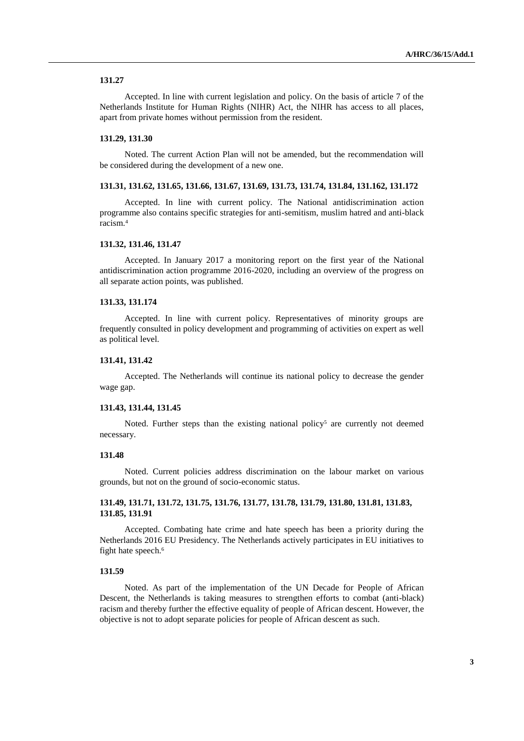Accepted. In line with current legislation and policy. On the basis of article 7 of the Netherlands Institute for Human Rights (NIHR) Act, the NIHR has access to all places, apart from private homes without permission from the resident.

# **131.29, 131.30**

Noted. The current Action Plan will not be amended, but the recommendation will be considered during the development of a new one.

#### **131.31, 131.62, 131.65, 131.66, 131.67, 131.69, 131.73, 131.74, 131.84, 131.162, 131.172**

Accepted. In line with current policy. The National antidiscrimination action programme also contains specific strategies for anti-semitism, muslim hatred and anti-black racism.<sup>4</sup>

#### **131.32, 131.46, 131.47**

Accepted. In January 2017 a monitoring report on the first year of the National antidiscrimination action programme 2016-2020, including an overview of the progress on all separate action points, was published.

#### **131.33, 131.174**

Accepted. In line with current policy. Representatives of minority groups are frequently consulted in policy development and programming of activities on expert as well as political level.

#### **131.41, 131.42**

Accepted. The Netherlands will continue its national policy to decrease the gender wage gap.

#### **131.43, 131.44, 131.45**

Noted. Further steps than the existing national policy<sup>5</sup> are currently not deemed necessary.

#### **131.48**

Noted. Current policies address discrimination on the labour market on various grounds, but not on the ground of socio-economic status.

# **131.49, 131.71, 131.72, 131.75, 131.76, 131.77, 131.78, 131.79, 131.80, 131.81, 131.83, 131.85, 131.91**

Accepted. Combating hate crime and hate speech has been a priority during the Netherlands 2016 EU Presidency. The Netherlands actively participates in EU initiatives to fight hate speech.<sup>6</sup>

# **131.59**

Noted. As part of the implementation of the UN Decade for People of African Descent, the Netherlands is taking measures to strengthen efforts to combat (anti-black) racism and thereby further the effective equality of people of African descent. However, the objective is not to adopt separate policies for people of African descent as such.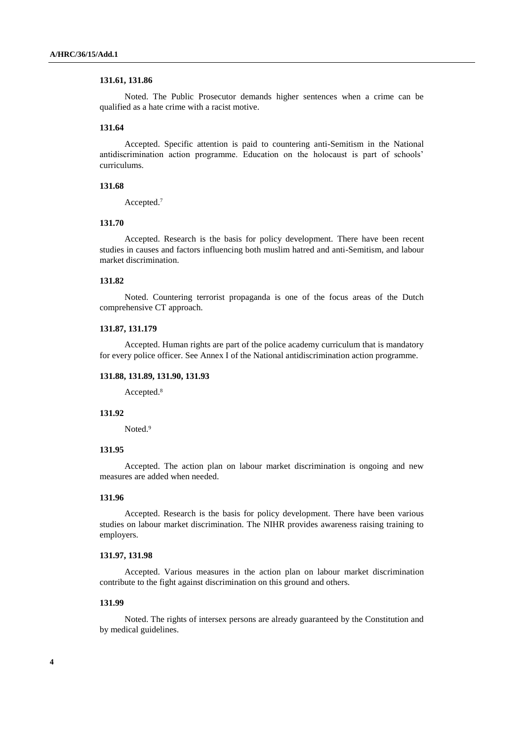#### **131.61, 131.86**

Noted. The Public Prosecutor demands higher sentences when a crime can be qualified as a hate crime with a racist motive.

# **131.64**

Accepted. Specific attention is paid to countering anti-Semitism in the National antidiscrimination action programme. Education on the holocaust is part of schools' curriculums.

# **131.68**

Accepted.<sup>7</sup>

# **131.70**

Accepted. Research is the basis for policy development. There have been recent studies in causes and factors influencing both muslim hatred and anti-Semitism, and labour market discrimination.

# **131.82**

Noted. Countering terrorist propaganda is one of the focus areas of the Dutch comprehensive CT approach.

# **131.87, 131.179**

Accepted. Human rights are part of the police academy curriculum that is mandatory for every police officer. See Annex I of the National antidiscrimination action programme.

# **131.88, 131.89, 131.90, 131.93**

Accepted.<sup>8</sup>

# **131.92**

Noted.<sup>9</sup>

# **131.95**

Accepted. The action plan on labour market discrimination is ongoing and new measures are added when needed.

# **131.96**

Accepted. Research is the basis for policy development. There have been various studies on labour market discrimination. The NIHR provides awareness raising training to employers.

## **131.97, 131.98**

Accepted. Various measures in the action plan on labour market discrimination contribute to the fight against discrimination on this ground and others.

# **131.99**

Noted. The rights of intersex persons are already guaranteed by the Constitution and by medical guidelines.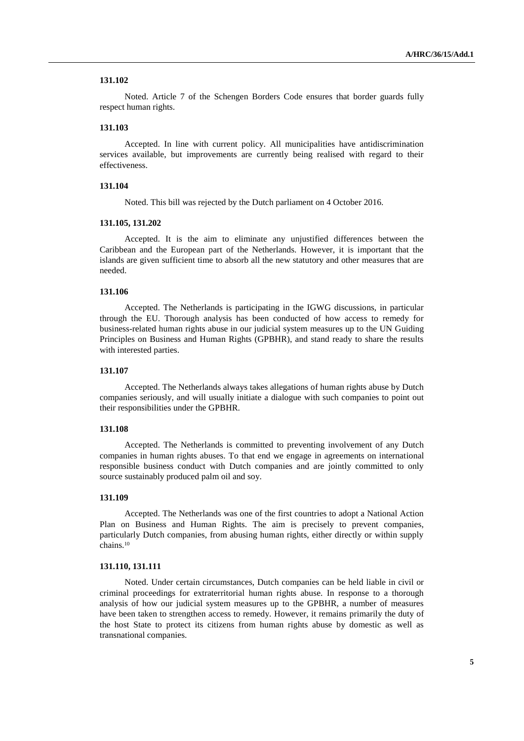Noted. Article 7 of the Schengen Borders Code ensures that border guards fully respect human rights.

# **131.103**

Accepted. In line with current policy. All municipalities have antidiscrimination services available, but improvements are currently being realised with regard to their effectiveness.

# **131.104**

Noted. This bill was rejected by the Dutch parliament on 4 October 2016.

#### **131.105, 131.202**

Accepted. It is the aim to eliminate any unjustified differences between the Caribbean and the European part of the Netherlands. However, it is important that the islands are given sufficient time to absorb all the new statutory and other measures that are needed.

#### **131.106**

Accepted. The Netherlands is participating in the IGWG discussions, in particular through the EU. Thorough analysis has been conducted of how access to remedy for business-related human rights abuse in our judicial system measures up to the UN Guiding Principles on Business and Human Rights (GPBHR), and stand ready to share the results with interested parties.

# **131.107**

Accepted. The Netherlands always takes allegations of human rights abuse by Dutch companies seriously, and will usually initiate a dialogue with such companies to point out their responsibilities under the GPBHR.

# **131.108**

Accepted. The Netherlands is committed to preventing involvement of any Dutch companies in human rights abuses. To that end we engage in agreements on international responsible business conduct with Dutch companies and are jointly committed to only source sustainably produced palm oil and soy.

# **131.109**

Accepted. The Netherlands was one of the first countries to adopt a National Action Plan on Business and Human Rights. The aim is precisely to prevent companies, particularly Dutch companies, from abusing human rights, either directly or within supply chains.<sup>10</sup>

# **131.110, 131.111**

Noted. Under certain circumstances, Dutch companies can be held liable in civil or criminal proceedings for extraterritorial human rights abuse. In response to a thorough analysis of how our judicial system measures up to the GPBHR, a number of measures have been taken to strengthen access to remedy. However, it remains primarily the duty of the host State to protect its citizens from human rights abuse by domestic as well as transnational companies.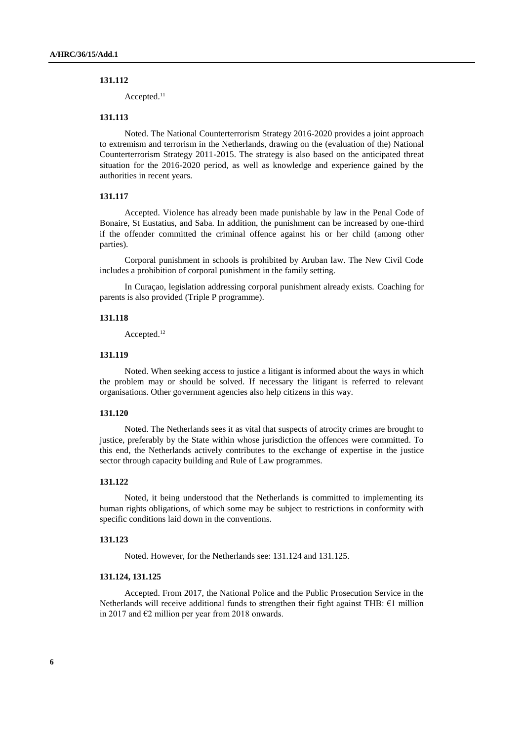Accepted.<sup>11</sup>

# **131.113**

Noted. The National Counterterrorism Strategy 2016-2020 provides a joint approach to extremism and terrorism in the Netherlands, drawing on the (evaluation of the) National Counterterrorism Strategy 2011-2015. The strategy is also based on the anticipated threat situation for the 2016-2020 period, as well as knowledge and experience gained by the authorities in recent years.

# **131.117**

Accepted. Violence has already been made punishable by law in the Penal Code of Bonaire, St Eustatius, and Saba. In addition, the punishment can be increased by one-third if the offender committed the criminal offence against his or her child (among other parties).

Corporal punishment in schools is prohibited by Aruban law. The New Civil Code includes a prohibition of corporal punishment in the family setting.

In Curaçao, legislation addressing corporal punishment already exists. Coaching for parents is also provided (Triple P programme).

# **131.118**

Accepted.<sup>12</sup>

# **131.119**

Noted. When seeking access to justice a litigant is informed about the ways in which the problem may or should be solved. If necessary the litigant is referred to relevant organisations. Other government agencies also help citizens in this way.

# **131.120**

Noted. The Netherlands sees it as vital that suspects of atrocity crimes are brought to justice, preferably by the State within whose jurisdiction the offences were committed. To this end, the Netherlands actively contributes to the exchange of expertise in the justice sector through capacity building and Rule of Law programmes.

# **131.122**

Noted, it being understood that the Netherlands is committed to implementing its human rights obligations, of which some may be subject to restrictions in conformity with specific conditions laid down in the conventions.

#### **131.123**

Noted. However, for the Netherlands see: 131.124 and 131.125.

#### **131.124, 131.125**

Accepted. From 2017, the National Police and the Public Prosecution Service in the Netherlands will receive additional funds to strengthen their fight against THB: €1 million in 2017 and  $\epsilon$ 2 million per year from 2018 onwards.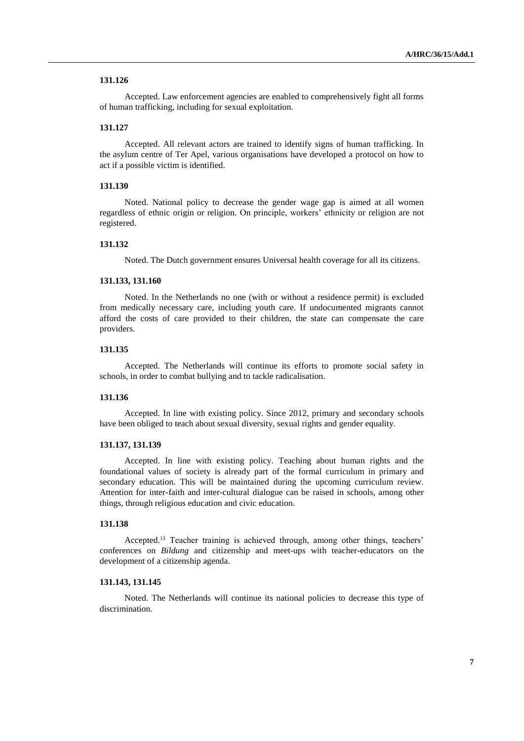Accepted. Law enforcement agencies are enabled to comprehensively fight all forms of human trafficking, including for sexual exploitation.

# **131.127**

Accepted. All relevant actors are trained to identify signs of human trafficking. In the asylum centre of Ter Apel, various organisations have developed a protocol on how to act if a possible victim is identified.

# **131.130**

Noted. National policy to decrease the gender wage gap is aimed at all women regardless of ethnic origin or religion. On principle, workers' ethnicity or religion are not registered.

#### **131.132**

Noted. The Dutch government ensures Universal health coverage for all its citizens.

#### **131.133, 131.160**

Noted. In the Netherlands no one (with or without a residence permit) is excluded from medically necessary care, including youth care. If undocumented migrants cannot afford the costs of care provided to their children, the state can compensate the care providers.

# **131.135**

Accepted. The Netherlands will continue its efforts to promote social safety in schools, in order to combat bullying and to tackle radicalisation.

#### **131.136**

Accepted. In line with existing policy. Since 2012, primary and secondary schools have been obliged to teach about sexual diversity, sexual rights and gender equality.

# **131.137, 131.139**

Accepted. In line with existing policy. Teaching about human rights and the foundational values of society is already part of the formal curriculum in primary and secondary education. This will be maintained during the upcoming curriculum review. Attention for inter-faith and inter-cultural dialogue can be raised in schools, among other things, through religious education and civic education.

# **131.138**

Accepted.<sup>13</sup> Teacher training is achieved through, among other things, teachers' conferences on *Bildung* and citizenship and meet-ups with teacher-educators on the development of a citizenship agenda.

# **131.143, 131.145**

Noted. The Netherlands will continue its national policies to decrease this type of discrimination.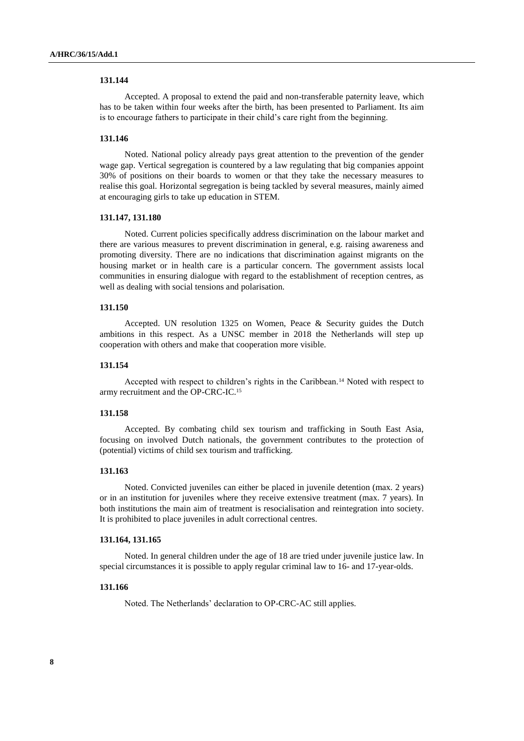Accepted. A proposal to extend the paid and non-transferable paternity leave, which has to be taken within four weeks after the birth, has been presented to Parliament. Its aim is to encourage fathers to participate in their child's care right from the beginning.

#### **131.146**

Noted. National policy already pays great attention to the prevention of the gender wage gap. Vertical segregation is countered by a law regulating that big companies appoint 30% of positions on their boards to women or that they take the necessary measures to realise this goal. Horizontal segregation is being tackled by several measures, mainly aimed at encouraging girls to take up education in STEM.

# **131.147, 131.180**

Noted. Current policies specifically address discrimination on the labour market and there are various measures to prevent discrimination in general, e.g. raising awareness and promoting diversity. There are no indications that discrimination against migrants on the housing market or in health care is a particular concern. The government assists local communities in ensuring dialogue with regard to the establishment of reception centres, as well as dealing with social tensions and polarisation.

# **131.150**

Accepted. UN resolution 1325 on Women, Peace & Security guides the Dutch ambitions in this respect. As a UNSC member in 2018 the Netherlands will step up cooperation with others and make that cooperation more visible.

#### **131.154**

Accepted with respect to children's rights in the Caribbean.<sup>14</sup> Noted with respect to army recruitment and the OP-CRC-IC.<sup>15</sup>

# **131.158**

Accepted. By combating child sex tourism and trafficking in South East Asia, focusing on involved Dutch nationals, the government contributes to the protection of (potential) victims of child sex tourism and trafficking.

#### **131.163**

Noted. Convicted juveniles can either be placed in juvenile detention (max. 2 years) or in an institution for juveniles where they receive extensive treatment (max. 7 years). In both institutions the main aim of treatment is resocialisation and reintegration into society. It is prohibited to place juveniles in adult correctional centres.

#### **131.164, 131.165**

Noted. In general children under the age of 18 are tried under juvenile justice law. In special circumstances it is possible to apply regular criminal law to 16- and 17-year-olds.

#### **131.166**

Noted. The Netherlands' declaration to OP-CRC-AC still applies.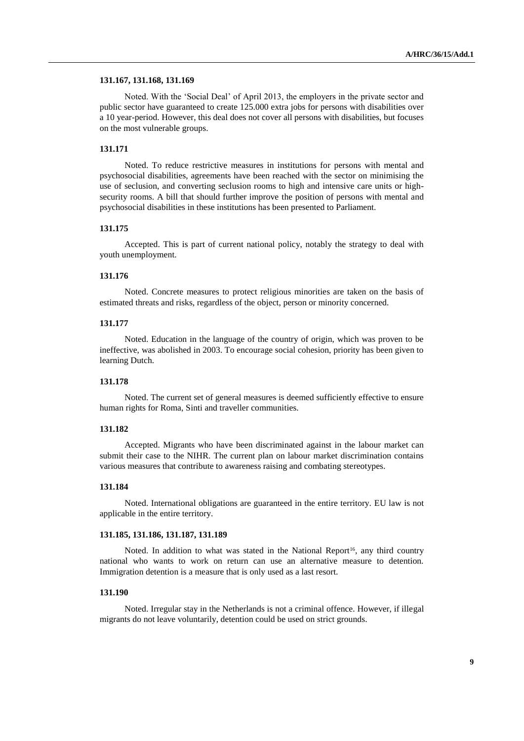#### **131.167, 131.168, 131.169**

Noted. With the 'Social Deal' of April 2013, the employers in the private sector and public sector have guaranteed to create 125.000 extra jobs for persons with disabilities over a 10 year-period. However, this deal does not cover all persons with disabilities, but focuses on the most vulnerable groups.

# **131.171**

Noted. To reduce restrictive measures in institutions for persons with mental and psychosocial disabilities, agreements have been reached with the sector on minimising the use of seclusion, and converting seclusion rooms to high and intensive care units or highsecurity rooms. A bill that should further improve the position of persons with mental and psychosocial disabilities in these institutions has been presented to Parliament.

# **131.175**

Accepted. This is part of current national policy, notably the strategy to deal with youth unemployment.

# **131.176**

Noted. Concrete measures to protect religious minorities are taken on the basis of estimated threats and risks, regardless of the object, person or minority concerned.

# **131.177**

Noted. Education in the language of the country of origin, which was proven to be ineffective, was abolished in 2003. To encourage social cohesion, priority has been given to learning Dutch.

# **131.178**

Noted. The current set of general measures is deemed sufficiently effective to ensure human rights for Roma, Sinti and traveller communities.

#### **131.182**

Accepted. Migrants who have been discriminated against in the labour market can submit their case to the NIHR. The current plan on labour market discrimination contains various measures that contribute to awareness raising and combating stereotypes.

# **131.184**

Noted. International obligations are guaranteed in the entire territory. EU law is not applicable in the entire territory.

#### **131.185, 131.186, 131.187, 131.189**

Noted. In addition to what was stated in the National Report<sup>16</sup>, any third country national who wants to work on return can use an alternative measure to detention. Immigration detention is a measure that is only used as a last resort.

# **131.190**

Noted. Irregular stay in the Netherlands is not a criminal offence. However, if illegal migrants do not leave voluntarily, detention could be used on strict grounds.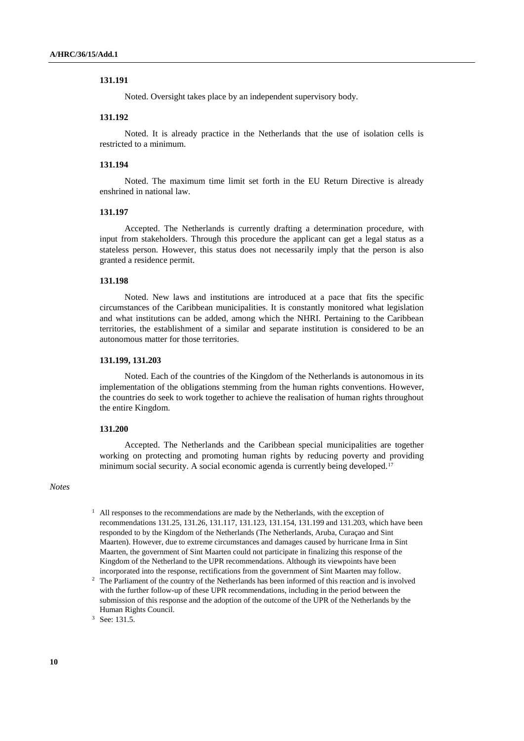Noted. Oversight takes place by an independent supervisory body.

# **131.192**

Noted. It is already practice in the Netherlands that the use of isolation cells is restricted to a minimum.

# **131.194**

Noted. The maximum time limit set forth in the EU Return Directive is already enshrined in national law.

#### **131.197**

Accepted. The Netherlands is currently drafting a determination procedure, with input from stakeholders. Through this procedure the applicant can get a legal status as a stateless person. However, this status does not necessarily imply that the person is also granted a residence permit.

#### **131.198**

Noted. New laws and institutions are introduced at a pace that fits the specific circumstances of the Caribbean municipalities. It is constantly monitored what legislation and what institutions can be added, among which the NHRI. Pertaining to the Caribbean territories, the establishment of a similar and separate institution is considered to be an autonomous matter for those territories.

# **131.199, 131.203**

Noted. Each of the countries of the Kingdom of the Netherlands is autonomous in its implementation of the obligations stemming from the human rights conventions. However, the countries do seek to work together to achieve the realisation of human rights throughout the entire Kingdom.

#### **131.200**

Accepted. The Netherlands and the Caribbean special municipalities are together working on protecting and promoting human rights by reducing poverty and providing minimum social security. A social economic agenda is currently being developed.<sup>17</sup>

# *Notes*

- $<sup>1</sup>$  All responses to the recommendations are made by the Netherlands, with the exception of</sup> recommendations 131.25, 131.26, 131.117, 131.123, 131.154, 131.199 and 131.203, which have been responded to by the Kingdom of the Netherlands (The Netherlands, Aruba, Curaçao and Sint Maarten). However, due to extreme circumstances and damages caused by hurricane Irma in Sint Maarten, the government of Sint Maarten could not participate in finalizing this response of the Kingdom of the Netherland to the UPR recommendations. Although its viewpoints have been incorporated into the response, rectifications from the government of Sint Maarten may follow.
- <sup>2</sup> The Parliament of the country of the Netherlands has been informed of this reaction and is involved with the further follow-up of these UPR recommendations, including in the period between the submission of this response and the adoption of the outcome of the UPR of the Netherlands by the Human Rights Council.

<sup>3</sup> See: 131.5.